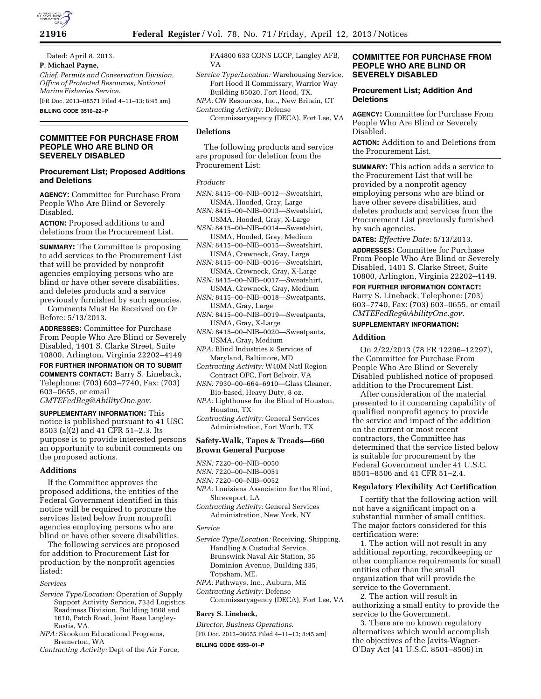

**21916 Federal Register** / Vol. 78, No. 71 / Friday, April 12, 2013 / Notices

Dated: April 8, 2013. **P. Michael Payne,**  *Chief, Permits and Conservation Division, Office of Protected Resources, National Marine Fisheries Service.*  [FR Doc. 2013–08571 Filed 4–11–13; 8:45 am]

**BILLING CODE 3510–22–P** 

## **COMMITTEE FOR PURCHASE FROM PEOPLE WHO ARE BLIND OR SEVERELY DISABLED**

### **Procurement List; Proposed Additions and Deletions**

**AGENCY:** Committee for Purchase From People Who Are Blind or Severely Disabled.

**ACTION:** Proposed additions to and deletions from the Procurement List.

**SUMMARY:** The Committee is proposing to add services to the Procurement List that will be provided by nonprofit agencies employing persons who are blind or have other severe disabilities, and deletes products and a service previously furnished by such agencies.

Comments Must Be Received on Or Before: 5/13/2013.

**ADDRESSES:** Committee for Purchase From People Who Are Blind or Severely Disabled, 1401 S. Clarke Street, Suite 10800, Arlington, Virginia 22202–4149

**FOR FURTHER INFORMATION OR TO SUBMIT COMMENTS CONTACT:** Barry S. Lineback, Telephone: (703) 603–7740, Fax: (703) 603–0655, or email

*[CMTEFedReg@AbilityOne.gov.](mailto:CMTEFedReg@AbilityOne.gov)* 

**SUPPLEMENTARY INFORMATION:** This notice is published pursuant to 41 USC 8503 (a)(2) and 41 CFR 51–2.3. Its purpose is to provide interested persons an opportunity to submit comments on the proposed actions.

### **Additions**

If the Committee approves the proposed additions, the entities of the Federal Government identified in this notice will be required to procure the services listed below from nonprofit agencies employing persons who are blind or have other severe disabilities.

The following services are proposed for addition to Procurement List for production by the nonprofit agencies listed:

#### *Services*

- *Service Type/Location*: Operation of Supply Support Activity Service, 733d Logistics Readiness Division, Building 1608 and 1610, Patch Road, Joint Base Langley-Eustis, VA.
- *NPA:* Skookum Educational Programs, Bremerton, WA
- *Contracting Activity:* Dept of the Air Force,

FA4800 633 CONS LGCP, Langley AFB, VA

*Service Type/Location:* Warehousing Service, Fort Hood II Commissary, Warrior Way Building 85020, Fort Hood, TX.

*NPA:* CW Resources, Inc., New Britain, CT *Contracting Activity:* Defense

Commissaryagency (DECA), Fort Lee, VA

### **Deletions**

The following products and service are proposed for deletion from the Procurement List:

### *Products*

- *NSN:* 8415–00–NIB–0012—Sweatshirt, USMA, Hooded, Gray, Large
- *NSN:* 8415–00–NIB–0013—Sweatshirt, USMA, Hooded, Gray, X-Large
- *NSN:* 8415–00–NIB–0014—Sweatshirt, USMA, Hooded, Gray, Medium
- *NSN:* 8415–00–NIB–0015—Sweatshirt, USMA, Crewneck, Gray, Large
- *NSN:* 8415–00–NIB–0016—Sweatshirt, USMA, Crewneck, Gray, X-Large
- *NSN:* 8415–00–NIB–0017—Sweatshirt, USMA, Crewneck, Gray, Medium
- *NSN:* 8415–00–NIB–0018—Sweatpants, USMA, Gray, Large
- *NSN:* 8415–00–NIB–0019—Sweatpants, USMA, Gray, X-Large
- *NSN:* 8415–00–NIB–0020—Sweatpants, USMA, Gray, Medium
- *NPA:* Blind Industries & Services of Maryland, Baltimore, MD
- *Contracting Activity:* W40M Natl Region Contract OFC, Fort Belvoir, VA
- *NSN:* 7930–00–664–6910—Glass Cleaner, Bio-based, Heavy Duty, 8 oz.
- *NPA:* Lighthouse for the Blind of Houston, Houston, TX
- *Contracting Activity:* General Services Administration, Fort Worth, TX

# **Safety-Walk, Tapes & Treads—660 Brown General Purpose**

- *NSN:* 7220–00–NIB–0050
- *NSN:* 7220–00–NIB–0051

# *NSN:* 7220–00–NIB–0052

- *NPA:* Louisiana Association for the Blind, Shreveport, LA
- *Contracting Activity:* General Services Administration, New York, NY

#### *Service*

- *Service Type/Location:* Receiving, Shipping, Handling & Custodial Service, Brunswick Naval Air Station, 35 Dominion Avenue, Building 335, Topsham, ME.
- *NPA:* Pathways, Inc., Auburn, ME

*Contracting Activity:* Defense

Commissaryagency (DECA), Fort Lee, VA

# **Barry S. Lineback,**

*Director, Business Operations.* 

[FR Doc. 2013–08655 Filed 4–11–13; 8:45 am] **BILLING CODE 6353–01–P** 

## **COMMITTEE FOR PURCHASE FROM PEOPLE WHO ARE BLIND OR SEVERELY DISABLED**

# **Procurement List; Addition And Deletions**

**AGENCY:** Committee for Purchase From People Who Are Blind or Severely Disabled.

**ACTION:** Addition to and Deletions from the Procurement List.

**SUMMARY:** This action adds a service to the Procurement List that will be provided by a nonprofit agency employing persons who are blind or have other severe disabilities, and deletes products and services from the Procurement List previously furnished by such agencies.

**DATES:** *Effective Date:* 5/13/2013.

**ADDRESSES:** Committee for Purchase From People Who Are Blind or Severely Disabled, 1401 S. Clarke Street, Suite 10800, Arlington, Virginia 22202–4149.

**FOR FURTHER INFORMATION CONTACT:**  Barry S. Lineback, Telephone: (703) 603–7740, Fax: (703) 603–0655, or email *[CMTEFedReg@AbilityOne.gov.](mailto:CMTEFedReg@AbilityOne.gov)* 

#### **SUPPLEMENTARY INFORMATION:**

### **Addition**

On 2/22/2013 (78 FR 12296–12297), the Committee for Purchase From People Who Are Blind or Severely Disabled published notice of proposed addition to the Procurement List.

After consideration of the material presented to it concerning capability of qualified nonprofit agency to provide the service and impact of the addition on the current or most recent contractors, the Committee has determined that the service listed below is suitable for procurement by the Federal Government under 41 U.S.C. 8501–8506 and 41 CFR 51–2.4.

#### **Regulatory Flexibility Act Certification**

I certify that the following action will not have a significant impact on a substantial number of small entities. The major factors considered for this certification were:

1. The action will not result in any additional reporting, recordkeeping or other compliance requirements for small entities other than the small organization that will provide the service to the Government.

2. The action will result in authorizing a small entity to provide the service to the Government.

3. There are no known regulatory alternatives which would accomplish the objectives of the Javits-Wagner-O'Day Act (41 U.S.C. 8501–8506) in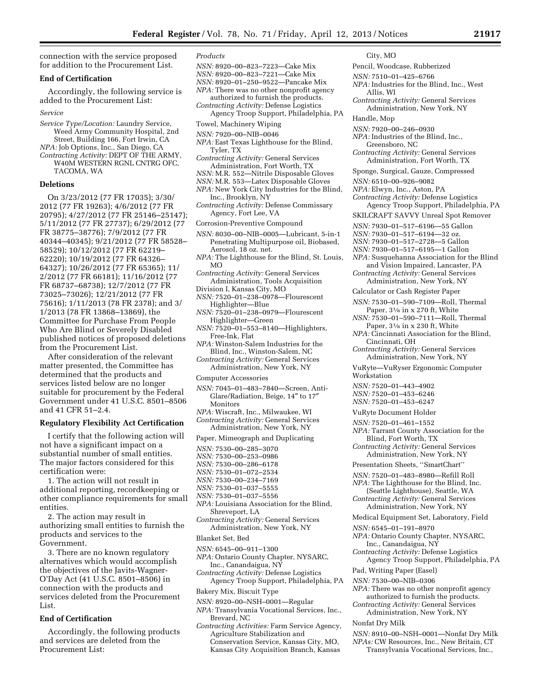connection with the service proposed for addition to the Procurement List.

## **End of Certification**

Accordingly, the following service is added to the Procurement List:

#### *Service*

- *Service Type/Location:* Laundry Service, Weed Army Community Hospital, 2nd Street, Building 166, Fort Irwin, CA
- *NPA:* Job Options, Inc., San Diego, CA
- *Contracting Activity:* DEPT OF THE ARMY, W40M WESTERN RGNL CNTRG OFC, TACOMA, WA

### **Deletions**

On 3/23/2012 (77 FR 17035); 3/30/ 2012 (77 FR 19263); 4/6/2012 (77 FR 20795); 4/27/2012 (77 FR 25146–25147); 5/11/2012 (77 FR 27737); 6/29/2012 (77 FR 38775–38776); 7/9/2012 (77 FR 40344–40345); 9/21/2012 (77 FR 58528– 58529); 10/12/2012 (77 FR 62219– 62220); 10/19/2012 (77 FR 64326– 64327); 10/26/2012 (77 FR 65365); 11/ 2/2012 (77 FR 66181); 11/16/2012 (77 FR 68737–68738); 12/7/2012 (77 FR 73025–73026); 12/21/2012 (77 FR 75616); 1/11/2013 (78 FR 2378); and 3/ 1/2013 (78 FR 13868–13869), the Committee for Purchase From People Who Are Blind or Severely Disabled published notices of proposed deletions from the Procurement List.

After consideration of the relevant matter presented, the Committee has determined that the products and services listed below are no longer suitable for procurement by the Federal Government under 41 U.S.C. 8501–8506 and 41 CFR 51–2.4.

### **Regulatory Flexibility Act Certification**

I certify that the following action will not have a significant impact on a substantial number of small entities. The major factors considered for this certification were:

1. The action will not result in additional reporting, recordkeeping or other compliance requirements for small entities.

2. The action may result in authorizing small entities to furnish the products and services to the Government.

3. There are no known regulatory alternatives which would accomplish the objectives of the Javits-Wagner-O'Day Act (41 U.S.C. 8501–8506) in connection with the products and services deleted from the Procurement List.

## **End of Certification**

Accordingly, the following products and services are deleted from the Procurement List:

#### *Products*

- *NSN:* 8920–00–823–7223—Cake Mix
- *NSN:* 8920–00–823–7221—Cake Mix
- *NSN:* 8920–01–250–9522—Pancake Mix
- *NPA:* There was no other nonprofit agency authorized to furnish the products.
- *Contracting Activity:* Defense Logistics Agency Troop Support, Philadelphia, PA
- Towel, Machinery Wiping
- *NSN:* 7920–00–NIB–0046
- *NPA:* East Texas Lighthouse for the Blind, Tyler, TX
- *Contracting Activity:* General Services Administration, Fort Worth, TX
- *NSN:* M.R. 552—Nitrile Disposable Gloves
- *NSN:* M.R. 553—Latex Disposable Gloves
- *NPA:* New York City Industries for the Blind, Inc., Brooklyn, NY
- *Contracting Activity:* Defense Commissary Agency, Fort Lee, VA
- Corrosion-Preventive Compound
- *NSN:* 8030–00–NIB–0005—Lubricant, 5-in-1 Penetrating Multipurpose oil, Biobased, Aerosol, 18 oz. net.
- *NPA:* The Lighthouse for the Blind, St. Louis, MO
- *Contracting Activity:* General Services Administration, Tools Acquisition
- Division I, Kansas City, MO *NSN:* 7520–01–238–0978—Flourescent
- Highlighter—Blue *NSN:* 7520–01–238–0979—Flourescent
- Highlighter—Green *NSN:* 7520–01–553–8140—Highlighters, Free-Ink, Flat
- *NPA:* Winston-Salem Industries for the Blind, Inc., Winston-Salem, NC
- *Contracting Activity:* General Services Administration, New York, NY
- Computer Accessories
- *NSN:* 7045–01–483–7840—Screen, Anti-Glare/Radiation, Beige, 14″ to 17″ Monitors
- *NPA:* Wiscraft, Inc., Milwaukee, WI *Contracting Activity:* General Services Administration, New York, NY
- Paper, Mimeograph and Duplicating
- *NSN:* 7530–00–285–3070
- *NSN:* 7530–00–253–0986
- *NSN:* 7530–00–286–6178
- *NSN:* 7530–01–072–2534
- *NSN:* 7530–00–234–7169
- *NSN:* 7530–01–037–5555
- *NSN:* 7530–01–037–5556
- *NPA:* Louisiana Association for the Blind, Shreveport, LA
- *Contracting Activity:* General Services Administration, New York, NY
- Blanket Set, Bed
- *NSN:* 6545–00–911–1300
- *NPA:* Ontario County Chapter, NYSARC, Inc., Canandaigua, NY
- *Contracting Activity:* Defense Logistics
- Agency Troop Support, Philadelphia, PA
- Bakery Mix, Biscuit Type
- *NSN:* 8920–00–NSH–0001—Regular
- *NPA:* Transylvania Vocational Services, Inc., Brevard, NC
- *Contracting Activities:* Farm Service Agency, Agriculture Stabilization and Conservation Service, Kansas City, MO, Kansas City Acquisition Branch, Kansas
- City, MO
- Pencil, Woodcase, Rubberized
- *NSN:* 7510–01–425–6766
- *NPA:* Industries for the Blind, Inc., West Allis, WI
- *Contracting Activity:* General Services Administration, New York, NY
- Handle, Mop
- *NSN:* 7920–00–246–0930
- *NPA:* Industries of the Blind, Inc.,
- Greensboro, NC
- *Contracting Activity:* General Services Administration, Fort Worth, TX
- Sponge, Surgical, Gauze, Compressed
	- *NSN:* 6510–00–926–9082
	- *NPA:* Elwyn, Inc., Aston, PA
	- *Contracting Activity:* Defense Logistics Agency Troop Support, Philadelphia, PA
	- SKILCRAFT SAVVY Unreal Spot Remover
	- *NSN:* 7930–01–517–6196—55 Gallon
	- *NSN:* 7930–01–517–6194—32 oz.
	- *NSN:* 7930–01–517–2728—5 Gallon
	- *NSN:* 7930–01–517–6195—1 Gallon
	- *NPA:* Susquehanna Association for the Blind and Vision Impaired, Lancaster, PA
	- *Contracting Activity:* General Services Administration, New York, NY
	- Calculator or Cash Register Paper
	- *NSN:* 7530–01–590–7109—Roll, Thermal Paper,  $3\frac{1}{8}$  in x 270 ft, White
	- *NSN:* 7530–01–590–7111—Roll, Thermal Paper, 31⁄8 in x 230 ft, White
	- *NPA:* Cincinnati Association for the Blind, Cincinnati, OH
	- *Contracting Activity:* General Services Administration, New York, NY
	- VuRyte—VuRyser Ergonomic Computer Workstation
	- *NSN:* 7520–01–443–4902
	- *NSN:* 7520–01–453–6246
	- *NSN:* 7520–01–453–6247
	- VuRyte Document Holder
	- *NSN:* 7520–01–461–1552

*NSN:* 6545–01–191–8970

Pad, Writing Paper (Easel) *NSN:* 7530–00–NIB–0306

Nonfat Dry Milk

Inc., Canandaigua, NY *Contracting Activity:* Defense Logistics

- *NPA:* Tarrant County Association for the Blind, Fort Worth, TX
- *Contracting Activity:* General Services Administration, New York, NY
- Presentation Sheets, ''SmartChart''
- *NSN:* 7520–01–483–8980—Refill Roll
- *NPA:* The Lighthouse for the Blind, Inc. (Seattle Lighthouse), Seattle, WA *Contracting Activity:* General Services

Administration, New York, NY Medical Equipment Set, Laboratory, Field

*NPA:* Ontario County Chapter, NYSARC,

*NPA:* There was no other nonprofit agency authorized to furnish the products. *Contracting Activity:* General Services Administration, New York, NY

*NSN:* 8910–00–NSH–0001—Nonfat Dry Milk *NPAs:* CW Resources, Inc., New Britain, CT Transylvania Vocational Services, Inc.,

Agency Troop Support, Philadelphia, PA